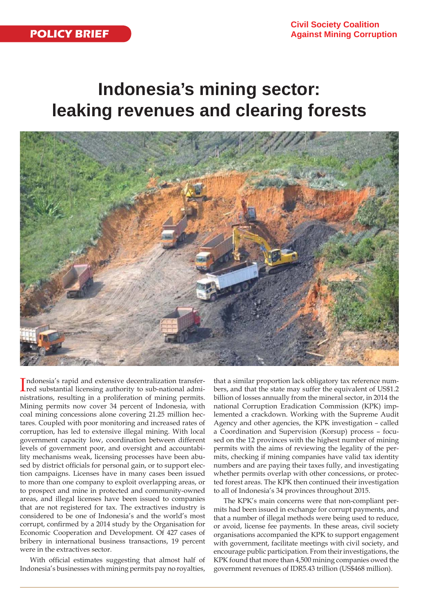# **Indonesia's mining sector: leaking revenues and clearing forests**



Indonesia's rapid and extensive decentralization transfer-<br>red substantial licensing authority to sub-national admired substantial licensing authority to sub-national administrations, resulting in a proliferation of mining permits. Mining permits now cover 34 percent of Indonesia, with coal mining concessions alone covering 21.25 million hectares. Coupled with poor monitoring and increased rates of corruption, has led to extensive illegal mining. With local government capacity low, coordination between different levels of government poor, and oversight and accountability mechanisms weak, licensing processes have been abused by district officials for personal gain, or to support election campaigns. Licenses have in many cases been issued to more than one company to exploit overlapping areas, or to prospect and mine in protected and community-owned areas, and illegal licenses have been issued to companies that are not registered for tax. The extractives industry is considered to be one of Indonesia's and the world's most corrupt, confirmed by a 2014 study by the Organisation for Economic Cooperation and Development. Of 427 cases of bribery in international business transactions, 19 percent were in the extractives sector.

With official estimates suggesting that almost half of Indonesia's businesses with mining permits pay no royalties,

that a similar proportion lack obligatory tax reference numbers, and that the state may suffer the equivalent of US\$1.2 billion of losses annually from the mineral sector, in 2014 the national Corruption Eradication Commission (KPK) implemented a crackdown. Working with the Supreme Audit Agency and other agencies, the KPK investigation – called a Coordination and Supervision (Korsup) process – focused on the 12 provinces with the highest number of mining permits with the aims of reviewing the legality of the permits, checking if mining companies have valid tax identity numbers and are paying their taxes fully, and investigating whether permits overlap with other concessions, or protected forest areas. The KPK then continued their investigation to all of Indonesia's 34 provinces throughout 2015.

The KPK's main concerns were that non-compliant permits had been issued in exchange for corrupt payments, and that a number of illegal methods were being used to reduce, or avoid, license fee payments. In these areas, civil society organisations accompanied the KPK to support engagement with government, facilitate meetings with civil society, and encourage public participation. From their investigations, the KPK found that more than 4,500 mining companies owed the government revenues of IDR5.43 trillion (US\$468 million).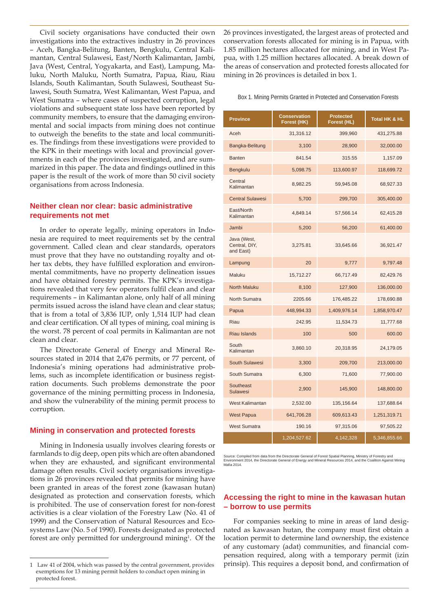Civil society organisations have conducted their own investigations into the extractives industry in 26 provinces – Aceh, Bangka-Belitung, Banten, Bengkulu, Central Kalimantan, Central Sulawesi, East/North Kalimantan, Jambi, Java (West, Central, Yogyakarta, and East), Lampung, Maluku, North Maluku, North Sumatra, Papua, Riau, Riau Islands, South Kalimantan, South Sulawesi, Southeast Sulawesi, South Sumatra, West Kalimantan, West Papua, and West Sumatra – where cases of suspected corruption, legal violations and subsequent state loss have been reported by community members, to ensure that the damaging environmental and social impacts from mining does not continue to outweigh the benefits to the state and local communities. The findings from these investigations were provided to the KPK in their meetings with local and provincial governments in each of the provinces investigated, and are summarized in this paper. The data and findings outlined in this paper is the result of the work of more than 50 civil society organisations from across Indonesia.

## **Neither clean nor clear: basic administrative requirements not met**

In order to operate legally, mining operators in Indonesia are required to meet requirements set by the central government. Called clean and clear standards, operators must prove that they have no outstanding royalty and other tax debts, they have fulfilled exploration and environmental commitments, have no property delineation issues and have obtained forestry permits. The KPK's investigations revealed that very few operators fulfil clean and clear requirements – in Kalimantan alone, only half of all mining permits issued across the island have clean and clear status; that is from a total of 3,836 IUP, only 1,514 IUP had clean and clear certification. Of all types of mining, coal mining is the worst. 78 percent of coal permits in Kalimantan are not clean and clear.

The Directorate General of Energy and Mineral Resources stated in 2014 that 2,476 permits, or 77 percent, of Indonesia's mining operations had administrative problems, such as incomplete identification or business registration documents. Such problems demonstrate the poor governance of the mining permitting process in Indonesia, and show the vulnerability of the mining permit process to corruption.

## **Mining in conservation and protected forests**

Mining in Indonesia usually involves clearing forests or farmlands to dig deep, open pits which are often abandoned when they are exhausted, and significant environmental damage often results. Civil society organisations investigations in 26 provinces revealed that permits for mining have been granted in areas of the forest zone (kawasan hutan) designated as protection and conservation forests, which is prohibited. The use of conservation forest for non-forest activities is a clear violation of the Forestry Law (No. 41 of 1999) and the Conservation of Natural Resources and Ecosystems Law (No. 5 of 1990). Forests designated as protected forest are only permitted for underground mining<sup>1</sup>. Of the 26 provinces investigated, the largest areas of protected and conservation forests allocated for mining is in Papua, with 1.85 million hectares allocated for mining, and in West Papua, with 1.25 million hectares allocated. A break down of the areas of conservation and protected forests allocated for mining in 26 provinces is detailed in box 1.

Box 1. Mining Permits Granted in Protected and Conservation Forests

| <b>Province</b>                           | <b>Conservation</b><br>Forest (HK) | <b>Protected</b><br>Forest (HL) | <b>Total HK &amp; HL</b> |
|-------------------------------------------|------------------------------------|---------------------------------|--------------------------|
| Aceh                                      | 31,316.12                          | 399,960                         | 431,275.88               |
| Bangka-Belitung                           | 3,100                              | 28,900                          | 32,000.00                |
| <b>Banten</b>                             | 841.54                             | 315.55                          | 1,157.09                 |
| Bengkulu                                  | 5,098.75                           | 113,600.97                      | 118,699.72               |
| Central<br>Kalimantan                     | 8,982.25                           | 59,945.08                       | 68,927.33                |
| <b>Central Sulawesi</b>                   | 5,700                              | 299,700                         | 305,400.00               |
| East/North<br>Kalimantan                  | 4,849.14                           | 57,566.14                       | 62,415.28                |
| Jambi                                     | 5,200                              | 56,200                          | 61,400.00                |
| Java (West,<br>Central, DIY,<br>and East) | 3,275.81                           | 33,645.66                       | 36,921.47                |
| Lampung                                   | 20                                 | 9,777                           | 9,797.48                 |
| Maluku                                    | 15,712.27                          | 66,717.49                       | 82,429.76                |
| <b>North Maluku</b>                       | 8,100                              | 127,900                         | 136,000.00               |
| North Sumatra                             | 2205.66                            | 176,485.22                      | 178,690.88               |
| Papua                                     | 448,994.33                         | 1,409,976.14                    | 1,858,970.47             |
| Riau                                      | 242.95                             | 11,534.73                       | 11,777.68                |
| <b>Riau Islands</b>                       | 100                                | 500                             | 600.00                   |
| South<br>Kalimantan                       | 3,860.10                           | 20,318.95                       | 24,179.05                |
| South Sulawesi                            | 3,300                              | 209,700                         | 213,000.00               |
| South Sumatra                             | 6,300                              | 71,600                          | 77,900.00                |
| Southeast<br><b>Sulawesi</b>              | 2,900                              | 145,900                         | 148,800.00               |
| West Kalimantan                           | 2,532.00                           | 135,156.64                      | 137,688.64               |
| <b>West Papua</b>                         | 641,706.28                         | 609,613.43                      | 1,251,319.71             |
| <b>West Sumatra</b>                       | 190.16                             | 97,315.06                       | 97,505.22                |
|                                           | 1,204,527.62                       | 4,142,328                       | 5,346,855.66             |

Source: Compiled from data from the Directorate General of Forest Spatial Planning, Ministry of Forestry and Environment 2014, the Directorate General of Energy and Mineral Resources 2014, and the Coalition Against Mining **Mafia 2014** 

## **Accessing the right to mine in the kawasan hutan – borrow to use permits**

For companies seeking to mine in areas of land designated as kawasan hutan, the company must first obtain a location permit to determine land ownership, the existence of any customary (adat) communities, and financial compensation required, along with a temporary permit (izin prinsip). This requires a deposit bond, and confirmation of

<sup>1</sup> Law 41 of 2004, which was passed by the central government, provides exemptions for 13 mining permit holders to conduct open mining in protected forest.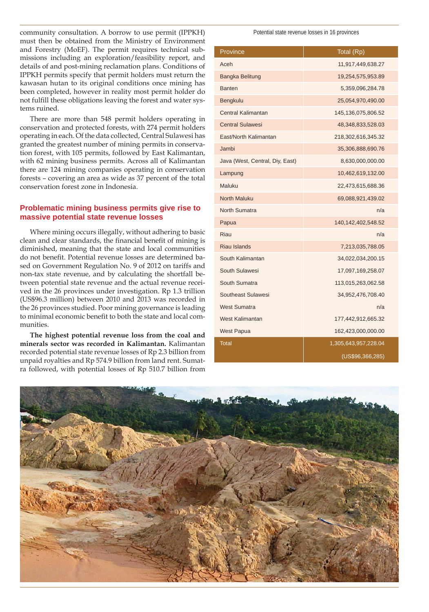community consultation. A borrow to use permit (IPPKH) must then be obtained from the Ministry of Environment and Forestry (MoEF). The permit requires technical submissions including an exploration/feasibility report, and details of and post-mining reclamation plans. Conditions of IPPKH permits specify that permit holders must return the kawasan hutan to its original conditions once mining has been completed, however in reality most permit holder do not fulfill these obligations leaving the forest and water systems ruined.

There are more than 548 permit holders operating in conservation and protected forests, with 274 permit holders operating in each. Of the data collected, Central Sulawesi has granted the greatest number of mining permits in conservation forest, with 105 permits, followed by East Kalimantan, with 62 mining business permits. Across all of Kalimantan there are 124 mining companies operating in conservation forests – covering an area as wide as 37 percent of the total conservation forest zone in Indonesia.

# **Problematic mining business permits give rise to massive potential state revenue losses**

Where mining occurs illegally, without adhering to basic clean and clear standards, the financial benefit of mining is diminished, meaning that the state and local communities do not benefit. Potential revenue losses are determined based on Government Regulation No. 9 of 2012 on tariffs and non-tax state revenue, and by calculating the shortfall between potential state revenue and the actual revenue received in the 26 provinces under investigation. Rp 1.3 trillion (US\$96.3 million) between 2010 and 2013 was recorded in the 26 provinces studied. Poor mining governance is leading to minimal economic benefit to both the state and local communities.

**The highest potential revenue loss from the coal and minerals sector was recorded in Kalimantan.** Kalimantan recorded potential state revenue losses of Rp 2.3 billion from unpaid royalties and Rp 574.9 billion from land rent. Sumatra followed, with potential losses of Rp 510.7 billion from

#### Potential state revenue losses in 16 provinces

| Province                        | Total (Rp)           |  |
|---------------------------------|----------------------|--|
| Aceh                            | 11,917,449,638.27    |  |
| Bangka Belitung                 | 19,254,575,953.89    |  |
| <b>Banten</b>                   | 5,359,096,284.78     |  |
| Bengkulu                        | 25,054,970,490.00    |  |
| <b>Central Kalimantan</b>       | 145,136,075,806.52   |  |
| <b>Central Sulawesi</b>         | 48,348,833,528.03    |  |
| East/North Kalimantan           | 218,302,616,345.32   |  |
| Jambi                           | 35,306,888,690.76    |  |
| Java (West, Central, Diy, East) | 8,630,000,000.00     |  |
| Lampung                         | 10,462,619,132.00    |  |
| Maluku                          | 22,473,615,688.36    |  |
| <b>North Maluku</b>             | 69,088,921,439.02    |  |
| North Sumatra                   | n/a                  |  |
| Papua                           | 140,142,402,548.52   |  |
| <b>Riau</b>                     | n/a                  |  |
| <b>Riau Islands</b>             | 7,213,035,788.05     |  |
| South Kalimantan                | 34,022,034,200.15    |  |
| South Sulawesi                  | 17,097,169,258.07    |  |
| South Sumatra                   | 113,015,263,062.58   |  |
| Southeast Sulawesi              | 34,952,476,708.40    |  |
| <b>West Sumatra</b>             | n/a                  |  |
| West Kalimantan                 | 177,442,912,665.32   |  |
| <b>West Papua</b>               | 162,423,000,000.00   |  |
| <b>Total</b>                    | 1,305,643,957,228.04 |  |
|                                 | (US\$96,366,285)     |  |